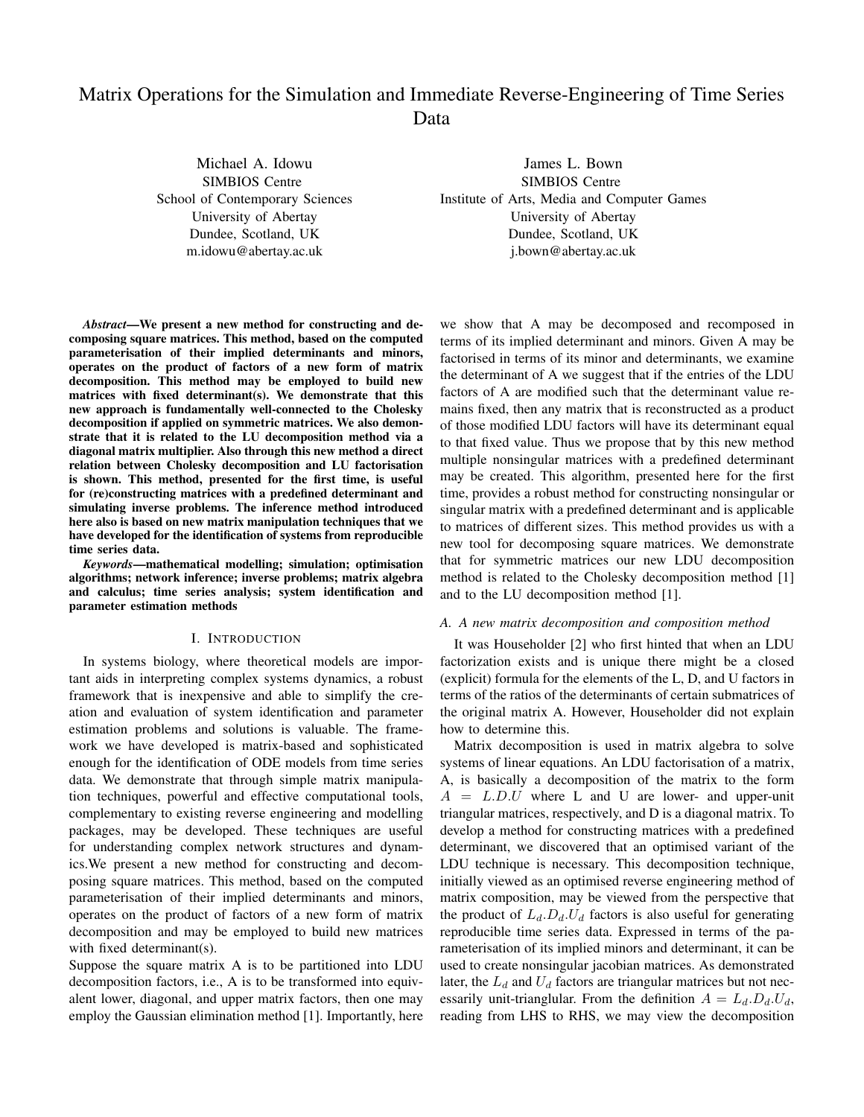# Matrix Operations for the Simulation and Immediate Reverse-Engineering of Time Series Data

Michael A. Idowu SIMBIOS Centre School of Contemporary Sciences University of Abertay Dundee, Scotland, UK m.idowu@abertay.ac.uk

James L. Bown SIMBIOS Centre Institute of Arts, Media and Computer Games University of Abertay Dundee, Scotland, UK j.bown@abertay.ac.uk

*Abstract*—We present a new method for constructing and decomposing square matrices. This method, based on the computed parameterisation of their implied determinants and minors, operates on the product of factors of a new form of matrix decomposition. This method may be employed to build new matrices with fixed determinant(s). We demonstrate that this new approach is fundamentally well-connected to the Cholesky decomposition if applied on symmetric matrices. We also demonstrate that it is related to the LU decomposition method via a diagonal matrix multiplier. Also through this new method a direct relation between Cholesky decomposition and LU factorisation is shown. This method, presented for the first time, is useful for (re)constructing matrices with a predefined determinant and simulating inverse problems. The inference method introduced here also is based on new matrix manipulation techniques that we have developed for the identification of systems from reproducible time series data.

*Keywords*—mathematical modelling; simulation; optimisation algorithms; network inference; inverse problems; matrix algebra and calculus; time series analysis; system identification and parameter estimation methods

#### I. INTRODUCTION

In systems biology, where theoretical models are important aids in interpreting complex systems dynamics, a robust framework that is inexpensive and able to simplify the creation and evaluation of system identification and parameter estimation problems and solutions is valuable. The framework we have developed is matrix-based and sophisticated enough for the identification of ODE models from time series data. We demonstrate that through simple matrix manipulation techniques, powerful and effective computational tools, complementary to existing reverse engineering and modelling packages, may be developed. These techniques are useful for understanding complex network structures and dynamics.We present a new method for constructing and decomposing square matrices. This method, based on the computed parameterisation of their implied determinants and minors, operates on the product of factors of a new form of matrix decomposition and may be employed to build new matrices with fixed determinant(s).

Suppose the square matrix A is to be partitioned into LDU decomposition factors, i.e., A is to be transformed into equivalent lower, diagonal, and upper matrix factors, then one may employ the Gaussian elimination method [1]. Importantly, here

we show that A may be decomposed and recomposed in terms of its implied determinant and minors. Given A may be factorised in terms of its minor and determinants, we examine the determinant of A we suggest that if the entries of the LDU factors of A are modified such that the determinant value remains fixed, then any matrix that is reconstructed as a product of those modified LDU factors will have its determinant equal to that fixed value. Thus we propose that by this new method multiple nonsingular matrices with a predefined determinant may be created. This algorithm, presented here for the first time, provides a robust method for constructing nonsingular or singular matrix with a predefined determinant and is applicable to matrices of different sizes. This method provides us with a new tool for decomposing square matrices. We demonstrate that for symmetric matrices our new LDU decomposition method is related to the Cholesky decomposition method [1] and to the LU decomposition method [1].

## *A. A new matrix decomposition and composition method*

It was Householder [2] who first hinted that when an LDU factorization exists and is unique there might be a closed (explicit) formula for the elements of the L, D, and U factors in terms of the ratios of the determinants of certain submatrices of the original matrix A. However, Householder did not explain how to determine this.

Matrix decomposition is used in matrix algebra to solve systems of linear equations. An LDU factorisation of a matrix, A, is basically a decomposition of the matrix to the form  $A = L.D.U$  where L and U are lower- and upper-unit triangular matrices, respectively, and D is a diagonal matrix. To develop a method for constructing matrices with a predefined determinant, we discovered that an optimised variant of the LDU technique is necessary. This decomposition technique, initially viewed as an optimised reverse engineering method of matrix composition, may be viewed from the perspective that the product of  $L_d.D_d.U_d$  factors is also useful for generating reproducible time series data. Expressed in terms of the parameterisation of its implied minors and determinant, it can be used to create nonsingular jacobian matrices. As demonstrated later, the  $L_d$  and  $U_d$  factors are triangular matrices but not necessarily unit-trianglular. From the definition  $A = L_d.D_d.U_d$ , reading from LHS to RHS, we may view the decomposition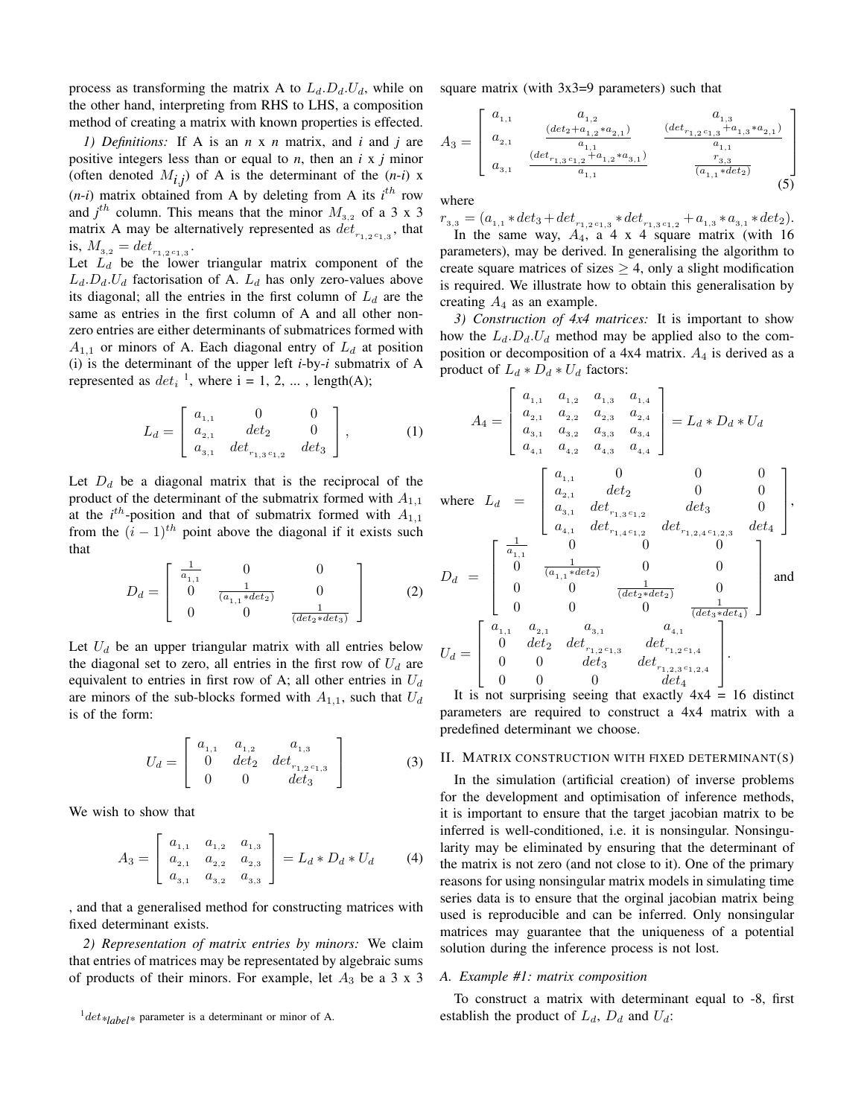process as transforming the matrix A to  $L_d$ . $D_d$ . $U_d$ , while on the other hand, interpreting from RHS to LHS, a composition method of creating a matrix with known properties is effected.

*1) Definitions:* If A is an *n* x *n* matrix, and *i* and *j* are positive integers less than or equal to  $n$ , then an  $i \times j$  minor (often denoted  $M_{i,j}$ ) of A is the determinant of the  $(n-i)$  x  $(n-i)$  matrix obtained from A by deleting from A its  $i^{th}$  row and  $j^{th}$  column. This means that the minor  $M_{3,2}$  of a 3 x 3 matrix A may be alternatively represented as  $det_{r_{1,2}c_{1,3}}$ , that is,  $M_{3,2} = det_{r_{1,2}c_{1,3}}$ .

Let  $L_d$  be the lower triangular matrix component of the  $L_d.D_d.U_d$  factorisation of A.  $L_d$  has only zero-values above its diagonal; all the entries in the first column of  $L_d$  are the same as entries in the first column of A and all other nonzero entries are either determinants of submatrices formed with  $A_{1,1}$  or minors of A. Each diagonal entry of  $L_d$  at position (i) is the determinant of the upper left *i*-by-*i* submatrix of A represented as  $det_i^{-1}$ , where  $i = 1, 2, ...$ , length(A);

$$
L_d = \begin{bmatrix} a_{1,1} & 0 & 0 \\ a_{2,1} & det_2 & 0 \\ a_{3,1} & det_{r_{1,3}c_{1,2}} & det_3 \end{bmatrix},
$$
 (1)

Let  $D_d$  be a diagonal matrix that is the reciprocal of the product of the determinant of the submatrix formed with  $A_{1,1}$ at the  $i^{th}$ -position and that of submatrix formed with  $A_{1,1}$ from the  $(i - 1)^{th}$  point above the diagonal if it exists such that

$$
D_d = \begin{bmatrix} \frac{1}{a_{1,1}} & 0 & 0\\ 0 & \frac{1}{(a_{1,1} * det_2)} & 0\\ 0 & 0 & \frac{1}{(det_2 * det_3)} \end{bmatrix}
$$
 (2)

Let  $U_d$  be an upper triangular matrix with all entries below the diagonal set to zero, all entries in the first row of  $U_d$  are equivalent to entries in first row of A; all other entries in  $U_d$ are minors of the sub-blocks formed with  $A_{1,1}$ , such that  $U_d$ is of the form:

$$
U_d = \begin{bmatrix} a_{1,1} & a_{1,2} & a_{1,3} \\ 0 & det_2 & det_{r_{1,2}c_{1,3}} \\ 0 & 0 & det_3 \end{bmatrix}
$$
 (3)

We wish to show that

$$
A_3 = \begin{bmatrix} a_{1,1} & a_{1,2} & a_{1,3} \\ a_{2,1} & a_{2,2} & a_{2,3} \\ a_{3,1} & a_{3,2} & a_{3,3} \end{bmatrix} = L_d * D_d * U_d \qquad (4)
$$

, and that a generalised method for constructing matrices with fixed determinant exists.

*2) Representation of matrix entries by minors:* We claim that entries of matrices may be representated by algebraic sums of products of their minors. For example, let  $A_3$  be a 3 x 3 square matrix (with 3x3=9 parameters) such that

$$
A_3 = \begin{bmatrix} a_{1,1} & a_{1,2} & a_{1,3} \\ a_{2,1} & \frac{(det_2 + a_{1,2} * a_{2,1})}{a_{1,1}} & \frac{(det_{r_{1,2}} + a_{1,3} * a_{2,1})}{a_{1,1}} \\ a_{3,1} & \frac{(det_{r_{1,3}} + a_{1,2} * a_{3,1})}{a_{1,1}} & \frac{r_{3,3}}{(a_{1,1} * det_2)} \end{bmatrix}
$$
 (5)

where

 $r_{3,3} = (a_{1,1} * det_3 + det_{r_{1,2}c_{1,3}} * det_{r_{1,3}c_{1,2}} + a_{1,3} * a_{3,1} * det_2).$ In the same way,  $A_4$ ,  $\alpha$  4 x 4 square matrix (with 16 parameters), may be derived. In generalising the algorithm to create square matrices of sizes  $\geq$  4, only a slight modification is required. We illustrate how to obtain this generalisation by creating  $A_4$  as an example.

*3) Construction of 4x4 matrices:* It is important to show how the  $L_d$ . $D_d$ . $U_d$  method may be applied also to the composition or decomposition of a 4x4 matrix.  $A_4$  is derived as a product of  $L_d * D_d * U_d$  factors:

$$
A_4 = \begin{bmatrix} a_{1,1} & a_{1,2} & a_{1,3} & a_{1,4} \\ a_{2,1} & a_{2,2} & a_{2,3} & a_{2,4} \\ a_{3,1} & a_{3,2} & a_{3,3} & a_{3,4} \\ a_{4,1} & a_{4,2} & a_{4,3} & a_{4,4} \end{bmatrix} = L_d * D_d * U_d
$$
  
where  $L_d = \begin{bmatrix} a_{1,1} & 0 & 0 & 0 \\ a_{2,1} & det_2 & 0 & 0 \\ a_{3,1} & det_1, 0 & 0 & 0 \\ a_{4,1} & det_1, 0 & 0 & 0 \\ a_{4,1} & det_1, 0 & 0 & 0 \\ a_{4,1} & det_1, 0 & 0 & 0 \\ 0 & 0 & 0 & 0 \end{bmatrix}$ ,  

$$
D_d = \begin{bmatrix} \frac{1}{a_{1,1}} & 0 & 0 & 0 \\ 0 & \frac{1}{(a_{1,1} * det_2)} & 0 & 0 \\ 0 & 0 & \frac{1}{(det_2 * det_2)} & 0 \\ 0 & 0 & 0 & \frac{1}{(det_3 * det_4)} \end{bmatrix}
$$
 and 
$$
U_d = \begin{bmatrix} a_{1,1} & a_{2,1} & a_{3,1} & a_{4,1} \\ 0 & det_2 & det_{1,2}c_{1,3} & det_{1,2}c_{1,4} \\ 0 & 0 & det_3 & det_{1,2}c_{1,4} \\ 0 & 0 & 0 & det_4 \end{bmatrix}.
$$

It is not surprising seeing that exactly 4x4 = 16 distinct parameters are required to construct a 4x4 matrix with a predefined determinant we choose.

#### II. MATRIX CONSTRUCTION WITH FIXED DETERMINANT(S)

In the simulation (artificial creation) of inverse problems for the development and optimisation of inference methods, it is important to ensure that the target jacobian matrix to be inferred is well-conditioned, i.e. it is nonsingular. Nonsingularity may be eliminated by ensuring that the determinant of the matrix is not zero (and not close to it). One of the primary reasons for using nonsingular matrix models in simulating time series data is to ensure that the orginal jacobian matrix being used is reproducible and can be inferred. Only nonsingular matrices may guarantee that the uniqueness of a potential solution during the inference process is not lost.

#### *A. Example #1: matrix composition*

To construct a matrix with determinant equal to -8, first establish the product of  $L_d$ ,  $D_d$  and  $U_d$ :

 $^{1}$ det<sub>\*label</sub>\* parameter is a determinant or minor of A.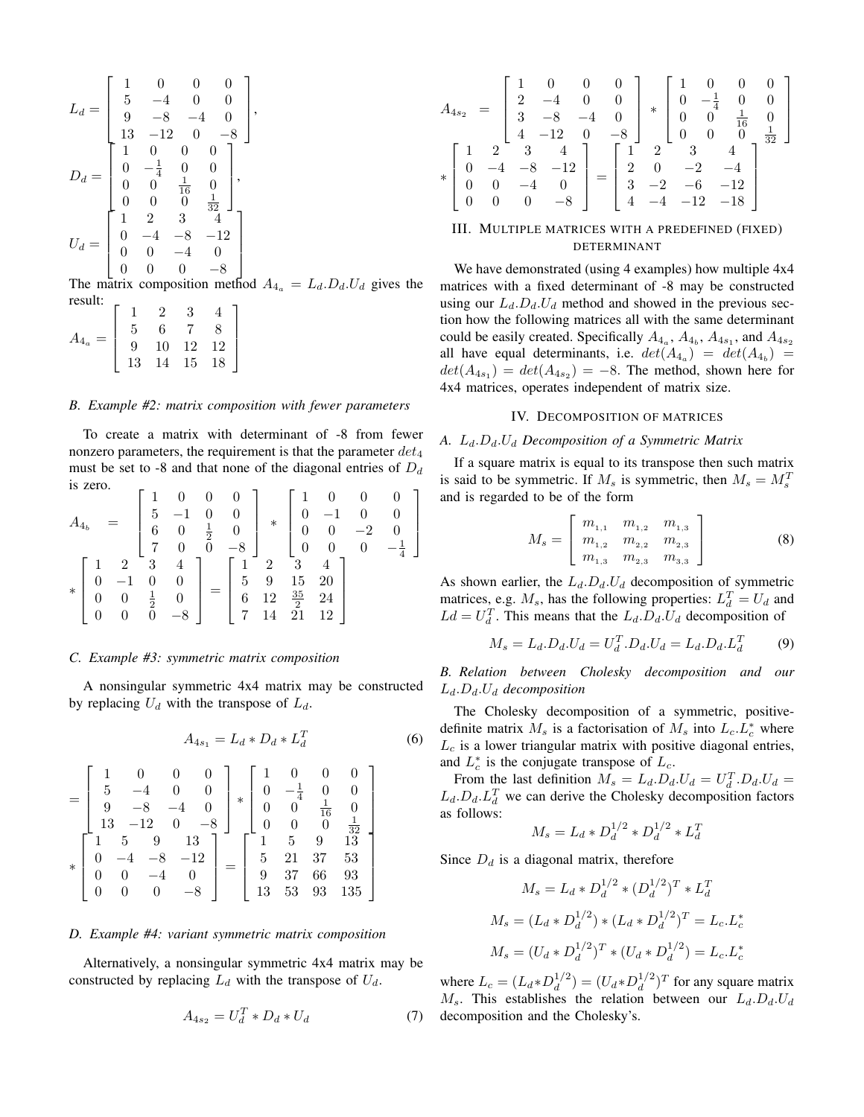$$
L_d = \begin{bmatrix} 1 & 0 & 0 & 0 \\ 5 & -4 & 0 & 0 \\ 9 & -8 & -4 & 0 \\ 13 & -12 & 0 & -8 \end{bmatrix},
$$
  
\n
$$
D_d = \begin{bmatrix} 1 & 0 & 0 & 0 \\ 0 & -\frac{1}{4} & 0 & 0 \\ 0 & 0 & \frac{1}{16} & 0 \\ 0 & 0 & 0 & \frac{1}{32} \end{bmatrix},
$$
  
\n
$$
U_d = \begin{bmatrix} 1 & 2 & 3 & 4 \\ 0 & -4 & -8 & -12 \\ 0 & 0 & -4 & 0 \\ 0 & 0 & 0 & -8 \end{bmatrix}
$$

The matrix composition method  $A_{4a} = L_d.D_d.U_d$  gives the

| result: |    |                |        |        |  |
|---------|----|----------------|--------|--------|--|
|         |    |                |        |        |  |
|         | h  |                |        |        |  |
|         |    | $10\,$         | 12     | $12\,$ |  |
|         | 13 | $\overline{A}$ | $15\,$ | 18     |  |
|         |    |                |        |        |  |

#### *B. Example #2: matrix composition with fewer parameters*

To create a matrix with determinant of -8 from fewer nonzero parameters, the requirement is that the parameter  $det_4$ must be set to -8 and that none of the diagonal entries of  $D_d$ is zero. 1

$$
A_{4_b} = \begin{bmatrix} 1 & 0 & 0 & 0 \\ 5 & -1 & 0 & 0 \\ 6 & 0 & \frac{1}{2} & 0 \\ 7 & 0 & 0 & -8 \\ 0 & -1 & 0 & 0 \\ 0 & 0 & \frac{1}{2} & 0 \\ 0 & 0 & 0 & -8 \end{bmatrix} * \begin{bmatrix} 1 & 0 & 0 & 0 \\ 0 & -1 & 0 & 0 \\ 0 & 0 & -2 & 0 \\ 0 & 0 & 0 & -\frac{1}{4} \end{bmatrix}
$$

$$
* \begin{bmatrix} 1 & 2 & 3 & 4 \\ 0 & -1 & 0 & 0 \\ 0 & 0 & \frac{1}{2} & 0 \\ 0 & 0 & 0 & -8 \end{bmatrix} = \begin{bmatrix} 1 & 2 & 3 & 4 \\ 5 & 9 & 15 & 20 \\ 6 & 12 & \frac{35}{2} & 24 \\ 7 & 14 & 21 & 12 \end{bmatrix}
$$

#### *C. Example #3: symmetric matrix composition*

A nonsingular symmetric 4x4 matrix may be constructed by replacing  $U_d$  with the transpose of  $L_d$ .

$$
A_{4s_1} = L_d * D_d * L_d^T \tag{6}
$$

$$
= \begin{bmatrix} 1 & 0 & 0 & 0 \\ 5 & -4 & 0 & 0 \\ 9 & -8 & -4 & 0 \\ 13 & -12 & 0 & -8 \\ 1 & 5 & 9 & 13 \\ 0 & -4 & -8 & -12 \\ 0 & 0 & -4 & 0 \\ 0 & 0 & 0 & -8 \end{bmatrix} * \begin{bmatrix} 1 & 0 & 0 & 0 \\ 0 & -\frac{1}{4} & 0 & 0 \\ 0 & 0 & \frac{1}{16} & 0 \\ 0 & 0 & 0 & \frac{1}{32} \\ 5 & 21 & 37 & 53 \\ 9 & 37 & 66 & 93 \\ 13 & 53 & 93 & 135 \end{bmatrix}
$$

#### *D. Example #4: variant symmetric matrix composition*

Alternatively, a nonsingular symmetric 4x4 matrix may be constructed by replacing  $L_d$  with the transpose of  $U_d$ .

$$
A_{4s_2} = U_d^T * D_d * U_d \tag{7}
$$

$$
A_{4s_2} = \begin{bmatrix} 1 & 0 & 0 & 0 \\ 2 & -4 & 0 & 0 \\ 3 & -8 & -4 & 0 \\ 4 & -12 & 0 & -8 \end{bmatrix} * \begin{bmatrix} 1 & 0 & 0 & 0 \\ 0 & -\frac{1}{4} & 0 & 0 \\ 0 & 0 & \frac{1}{16} & 0 \\ 0 & 0 & 0 & \frac{1}{32} \end{bmatrix}
$$

$$
* \begin{bmatrix} 1 & 2 & 3 & 4 \\ 0 & -4 & -8 & -12 \\ 0 & 0 & -4 & 0 \\ 0 & 0 & 0 & -8 \end{bmatrix} = \begin{bmatrix} 1 & 2 & 3 & 4 \\ 2 & 0 & -2 & -4 \\ 3 & -2 & -6 & -12 \\ 4 & -4 & -12 & -18 \end{bmatrix}
$$

# III. MULTIPLE MATRICES WITH A PREDEFINED (FIXED) DETERMINANT

We have demonstrated (using 4 examples) how multiple 4x4 matrices with a fixed determinant of -8 may be constructed using our  $L_d$ . $D_d$ . $U_d$  method and showed in the previous section how the following matrices all with the same determinant could be easily created. Specifically  $A_{4_a}$ ,  $A_{4_b}$ ,  $A_{4s_1}$ , and  $A_{4s_2}$ all have equal determinants, i.e.  $det(A_{4a}) = det(A_{4b}) =$  $det(A_{4s_1}) = det(A_{4s_2}) = -8$ . The method, shown here for 4x4 matrices, operates independent of matrix size.

#### IV. DECOMPOSITION OF MATRICES

## *A.* Ld.Dd.U<sup>d</sup> *Decomposition of a Symmetric Matrix*

If a square matrix is equal to its transpose then such matrix is said to be symmetric. If  $M_s$  is symmetric, then  $M_s = M_s^T$ and is regarded to be of the form

$$
M_s = \left[ \begin{array}{ccc} m_{1,1} & m_{1,2} & m_{1,3} \\ m_{1,2} & m_{2,2} & m_{2,3} \\ m_{1,3} & m_{2,3} & m_{3,3} \end{array} \right] \tag{8}
$$

As shown earlier, the  $L_d.D_d.U_d$  decomposition of symmetric matrices, e.g.  $M_s$ , has the following properties:  $L_d^T = U_d$  and  $L d = U_d^T$ . This means that the  $L_d$ .  $D_d$ .  $U_d$  decomposition of

$$
M_s = L_d.D_d.U_d = U_d^T.D_d.U_d = L_d.D_d.L_d^T
$$
 (9)

*B. Relation between Cholesky decomposition and our* Ld.Dd.U<sup>d</sup> *decomposition*

The Cholesky decomposition of a symmetric, positivedefinite matrix  $M_s$  is a factorisation of  $M_s$  into  $L_c L_c^*$  where  $L_c$  is a lower triangular matrix with positive diagonal entries, and  $L_c^*$  is the conjugate transpose of  $L_c$ .

From the last definition  $M_s = L_d \cdot D_d \cdot U_d = U_d^T \cdot D_d \cdot U_d =$  $L_d$ . $D_d$ . $L_d^T$  we can derive the Cholesky decomposition factors as follows:

$$
M_s = L_d * D_d^{1/2} * D_d^{1/2} * L_d^T
$$

Since  $D_d$  is a diagonal matrix, therefore

$$
M_s = L_d * D_d^{1/2} * (D_d^{1/2})^T * L_d^T
$$
  

$$
M_s = (L_d * D_d^{1/2}) * (L_d * D_d^{1/2})^T = L_c.L_c^*
$$
  

$$
M_s = (U_d * D_d^{1/2})^T * (U_d * D_d^{1/2}) = L_c.L_c^*
$$

where  $L_c = (L_d * D_d^{1/2})$  $\binom{1/2}{d} = (U_d * D_d^{1/2})$  $\int_{d}^{1/2}$ )<sup>T</sup> for any square matrix  $M_s$ . This establishes the relation between our  $L_d.D_d.U_d$ decomposition and the Cholesky's.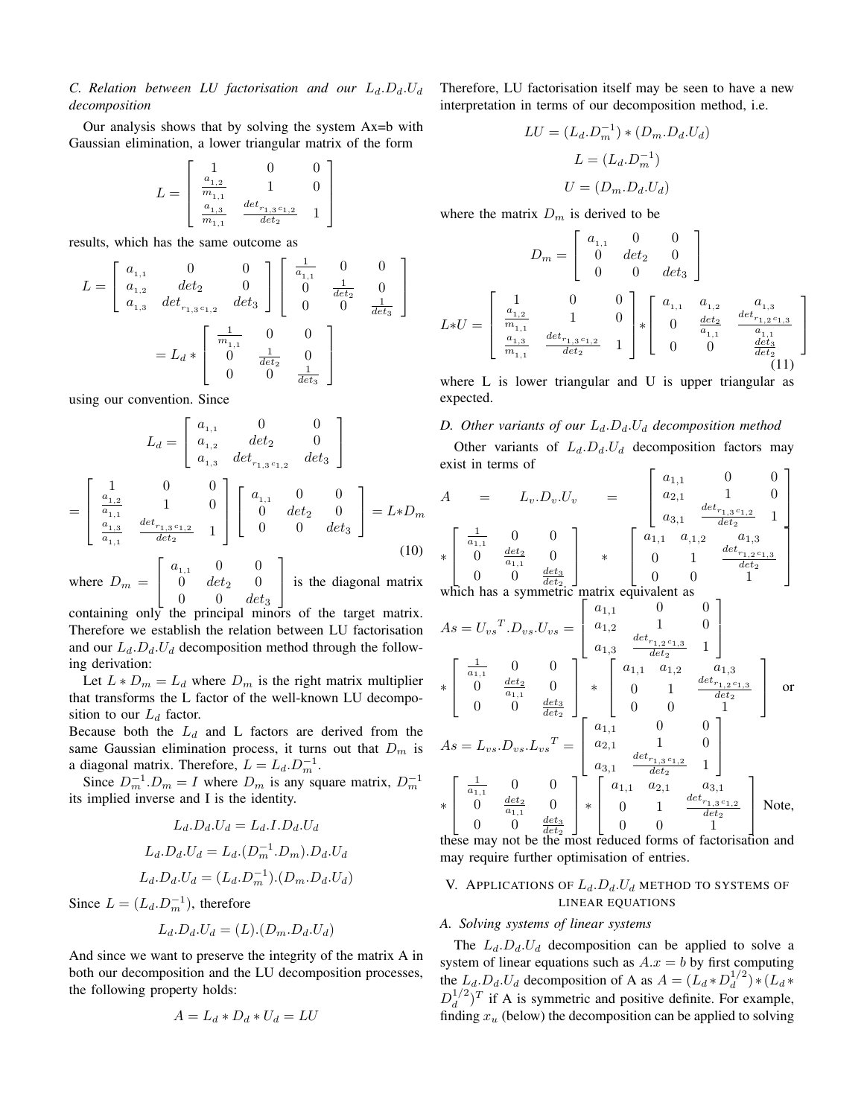# *C. Relation between LU factorisation and our*  $L_d.D_d.U_d$ *decomposition*

Our analysis shows that by solving the system Ax=b with Gaussian elimination, a lower triangular matrix of the form

$$
L = \begin{bmatrix} 1 & 0 & 0 \\ \frac{a_{1,2}}{m_{1,1}} & 1 & 0 \\ \frac{a_{1,3}}{m_{1,1}} & \frac{det_{r_{1,3}c_{1,2}}}{det_2} & 1 \end{bmatrix}
$$

results, which has the same outcome as

$$
L = \begin{bmatrix} a_{1,1} & 0 & 0 \ a_{1,2} & det_2 & 0 \ a_{1,3} & det_{1,3} & det_3 \end{bmatrix} \begin{bmatrix} \frac{1}{a_{1,1}} & 0 & 0 \ 0 & \frac{1}{det_2} & 0 \ 0 & 0 & \frac{1}{det_3} \end{bmatrix}
$$
  
=  $L_d * \begin{bmatrix} \frac{1}{m_{1,1}} & 0 & 0 \ 0 & \frac{1}{det_2} & 0 \ 0 & 0 & \frac{1}{det_3} \end{bmatrix}$ 

using our convention. Since

$$
L_d = \begin{bmatrix} a_{1,1} & 0 & 0 \\ a_{1,2} & det_2 & 0 \\ a_{1,3} & det_{r_{1,3}c_{1,2}} & det_3 \end{bmatrix}
$$
  
= 
$$
\begin{bmatrix} 1 & 0 & 0 \\ \frac{a_{1,2}}{a_{1,1}} & 1 & 0 \\ \frac{a_{1,3}}{a_{1,1}} & \frac{det_{r_{1,3}c_{1,2}}}{det_2} & 1 \end{bmatrix} \begin{bmatrix} a_{1,1} & 0 & 0 \\ 0 & det_2 & 0 \\ 0 & 0 & det_3 \end{bmatrix} = L * D_m
$$
  

$$
\begin{bmatrix} a_{1,1} & 0 & 0 \\ 0 & 0 & 0 \end{bmatrix}
$$
 (10)

where  $D_m =$  $\overline{1}$  $a_{1,1} = 0 = 0$ 0  $det_2$  0 0 0  $det_3$ is the diagonal matrix

containing only the principal minors of the target matrix. Therefore we establish the relation between LU factorisation and our  $L_d$ . $D_d$ . $U_d$  decomposition method through the following derivation:

Let  $L * D_m = L_d$  where  $D_m$  is the right matrix multiplier that transforms the L factor of the well-known LU decomposition to our  $L_d$  factor.

Because both the  $L_d$  and L factors are derived from the same Gaussian elimination process, it turns out that  $D_m$  is a diagonal matrix. Therefore,  $L = L_d \cdot D_m^{-1}$ .

Since  $D_m^{-1}.D_m = I$  where  $D_m$  is any square matrix,  $D_m^{-1}$ its implied inverse and I is the identity.

$$
L_d.D_d.U_d = L_d.I.D_d.U_d
$$
  
\n
$$
L_d.D_d.U_d = L_d.(D_m^{-1}.D_m).D_d.U_d
$$
  
\n
$$
L_d.D_d.U_d = (L_d.D_m^{-1}).(D_m.D_d.U_d)
$$

Since  $L = (L_d.D_m^{-1})$ , therefore

$$
L_d.D_d.U_d = (L).(D_m.D_d.U_d)
$$

And since we want to preserve the integrity of the matrix A in both our decomposition and the LU decomposition processes, the following property holds:

$$
A = L_d * D_d * U_d = LU
$$

Therefore, LU factorisation itself may be seen to have a new interpretation in terms of our decomposition method, i.e.

$$
LU = (L_d.D_m^{-1}) * (D_m.D_d.U_d)
$$

$$
L = (L_d.D_m^{-1})
$$

$$
U = (D_m.D_d.U_d)
$$

where the matrix  $D_m$  is derived to be

$$
D_m = \begin{bmatrix} a_{1,1} & 0 & 0 \\ 0 & det_2 & 0 \\ 0 & 0 & det_3 \end{bmatrix}
$$

$$
L*U = \begin{bmatrix} 1 & 0 & 0 \\ \frac{a_{1,2}}{m_{1,1}} & 1 & 0 \\ \frac{a_{1,3}}{m_{1,1}} & \frac{det_{r_{1,3}c_{1,2}}}{det_2} & 1 \end{bmatrix} * \begin{bmatrix} a_{1,1} & a_{1,2} & a_{1,3} \\ 0 & \frac{det_2}{a_{1,1}} & \frac{det_{r_{1,2}c_{1,3}}{a_{1,1}} \\ 0 & 0 & \frac{det_3}{det_2} \end{bmatrix}
$$
(11)

where L is lower triangular and U is upper triangular as expected.

# *D. Other variants of our*  $L_d.D_d.U_d$  *decomposition method*

Other variants of  $L_d.D_d.U_d$  decomposition factors may exist in terms of  $\mathsf{L}$ 1

$$
A = L_v.D_v.U_v = \begin{bmatrix} a_{1,1} & 0 & 0 \\ a_{2,1} & 1 & 0 \\ a_{3,1} & \frac{det_{r_{1,3}c_{1,2}}}{det_2} & 1 \\ a_{4,1} & 0 & 0 \\ 0 & \frac{det_2}{a_{1,1}} & 0 \\ 0 & 0 & \frac{det_3}{det_2} \end{bmatrix} * \begin{bmatrix} a_{1,1} & a_{1,2} & a_{1,3} \\ a_{2,1} & 1 & 0 \\ a_{3,1} & \frac{det_{r_{1,3}c_{1,2}}}{det_2} & 1 \\ 0 & 1 & \frac{det_{r_{1,2}c_{1,3}}}{det_2} \\ 0 & 0 & 1 \end{bmatrix}
$$
  
which has a symmetric matrix equivalent as

which has a symmetric matrix equivalent as ———<br>Г

$$
As = U_{vs}^T . D_{vs} . U_{vs} = \begin{bmatrix} a_{1,1} & 0 & 0 \\ a_{1,2} & 1 & 0 \\ a_{1,3} & \frac{det_{r_{1,2}^1 c_{1,3}}}{det_{r_{1,2}^1 c_{1,3}}} & 1 \end{bmatrix}
$$
  
\n
$$
*\begin{bmatrix} \frac{1}{a_{1,1}} & 0 & 0 \\ 0 & \frac{det_2}{a_{1,1}} & 0 \\ 0 & 0 & \frac{det_3}{det_2} \end{bmatrix} * \begin{bmatrix} a_{1,1} & a_{1,2} & a_{1,3} \\ 0 & 1 & \frac{det_{r_{1,2}^1 c_{1,3}}}{det_{r_{1,2}^1 c_{1,3}}} \\ 0 & 0 & 1 \end{bmatrix} \text{ or}
$$
  
\n
$$
As = L_{vs} . D_{vs} . L_{vs}^T = \begin{bmatrix} a_{1,1} & 0 & 0 \\ a_{2,1} & 1 & 0 \\ a_{3,1} & \frac{det_{r_{1,3}^1 c_{1,2}}}{det_2} & 1 \end{bmatrix}
$$
  
\n
$$
*\begin{bmatrix} \frac{1}{a_{1,1}} & 0 & 0 \\ 0 & \frac{det_2}{a_{1,1}} & 0 \\ 0 & 0 & \frac{det_3}{a_{1,1}} \end{bmatrix} * \begin{bmatrix} a_{1,1} & a_{2,1} & a_{3,1} \\ 0 & 1 & \frac{det_{r_{1,3}^1 c_{1,2}}{det_{r_{1,3}^1 c_{1,2}}} \\ 0 & 0 & 1 \end{bmatrix} \text{ Note,}
$$

these may not be the most reduced forms of factorisation and may require further optimisation of entries.

# V. APPLICATIONS OF  $L_d$ . $D_d$ . $U_d$  method to systems of LINEAR EQUATIONS

## *A. Solving systems of linear systems*

The  $L_d.D_d.U_d$  decomposition can be applied to solve a system of linear equations such as  $A.x = b$  by first computing the  $L_d$ . $D_d$ . $U_d$  decomposition of A as  $A = (L_d * D_d^{1/2})$  $\binom{1}{d}$   $*(L_d *$  $D_d^{1/2}$  $\int_{d}^{1/2}$ )<sup>T</sup> if A is symmetric and positive definite. For example, finding  $x_u$  (below) the decomposition can be applied to solving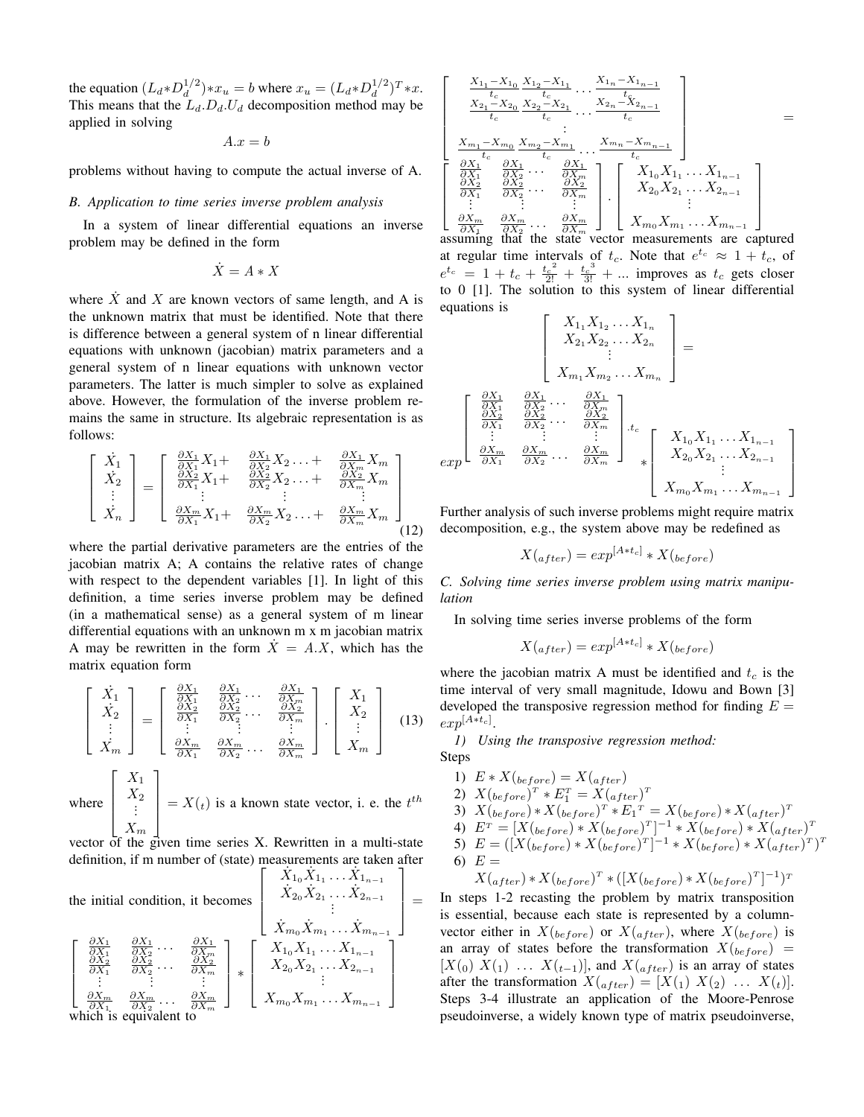the equation  $(L_d * D_d^{1/2})$  $\binom{1/2}{d} * x_u = b$  where  $x_u = (L_d * D_d^{1/2})$  $\binom{1}{d}^T * x.$ This means that the  $L_d$ . $D_d$ . $U_d$  decomposition method may be applied in solving

 $A.x = b$ 

problems without having to compute the actual inverse of A.

## *B. Application to time series inverse problem analysis*

In a system of linear differential equations an inverse problem may be defined in the form

$$
\dot{X} = A * X
$$

where  $X$  and  $X$  are known vectors of same length, and A is the unknown matrix that must be identified. Note that there is difference between a general system of n linear differential equations with unknown (jacobian) matrix parameters and a general system of n linear equations with unknown vector parameters. The latter is much simpler to solve as explained above. However, the formulation of the inverse problem remains the same in structure. Its algebraic representation is as follows:

$$
\begin{bmatrix}\n\dot{X}_1 \\
\dot{X}_2 \\
\vdots \\
\dot{X}_n\n\end{bmatrix} = \begin{bmatrix}\n\frac{\partial X_1}{\partial X_1} X_1 + \frac{\partial X_1}{\partial X_2} X_2 \dots + \frac{\partial X_1}{\partial X_m} X_m \\
\frac{\partial X_2}{\partial X_1} X_1 + \frac{\partial X_2}{\partial X_2} X_2 \dots + \frac{\partial X_2}{\partial X_m} X_m \\
\vdots \\
\frac{\partial X_m}{\partial X_1} X_1 + \frac{\partial X_m}{\partial X_2} X_2 \dots + \frac{\partial X_m}{\partial X_m} X_m\n\end{bmatrix}
$$
\n(12)

where the partial derivative parameters are the entries of the jacobian matrix A; A contains the relative rates of change with respect to the dependent variables [1]. In light of this definition, a time series inverse problem may be defined (in a mathematical sense) as a general system of m linear differential equations with an unknown m x m jacobian matrix A may be rewritten in the form  $X = A.X$ , which has the matrix equation form

$$
\begin{bmatrix} \dot{X}_1 \\ \dot{X}_2 \\ \vdots \\ \dot{X}_m \end{bmatrix} = \begin{bmatrix} \frac{\partial X_1}{\partial X_1} & \frac{\partial X_1}{\partial X_2} & \cdots & \frac{\partial X_1}{\partial X_m} \\ \frac{\partial X_2}{\partial X_1} & \frac{\partial X_2}{\partial X_2} & \cdots & \frac{\partial X_2}{\partial X_m} \\ \vdots & \vdots & \vdots & \vdots \\ \frac{\partial X_m}{\partial X_1} & \frac{\partial X_m}{\partial X_2} & \cdots & \frac{\partial X_m}{\partial X_m} \end{bmatrix} \cdot \begin{bmatrix} X_1 \\ X_2 \\ \vdots \\ X_m \end{bmatrix}
$$
 (13)  
there  

$$
\begin{bmatrix} X_1 \\ X_2 \\ \vdots \\ X_2 \end{bmatrix} = X(.)
$$
 is a known state vector, i.e., the *t*<sup>th</sup>

where 
$$
\begin{bmatrix} A_2 \\ \vdots \\ X_m \end{bmatrix} = X(t)
$$
 is a known state vector, i. e. the  $t^{th}$ 

vector of the given time series X. Rewritten in a multi-state definition, if m number of (state) measurements are taken after  $\int \hat{X}_{1_0}\hat{X}_{1_1}\dots \hat{X}_{1_{n-1}}$ ٦.

the initial condition, it becomes  
\n
$$
\begin{bmatrix}\n\frac{\partial X_1}{\partial X_1} & \frac{\partial X_1}{\partial X_2} & \cdots & \frac{\partial X_1}{\partial X_m} \\
\frac{\partial X_2}{\partial X_1} & \frac{\partial X_2}{\partial X_2} & \cdots & \frac{\partial X_2}{\partial X_m} \\
\vdots & \vdots & \vdots & \vdots \\
\frac{\partial X_m}{\partial X_1} & \frac{\partial X_m}{\partial X_2} & \cdots & \frac{\partial X_m}{\partial X_m}\n\end{bmatrix} * \begin{bmatrix}\nX_{1_0}X_{1_1} \ldots X_{1_{n-1}} \\
X_{2_0}X_{2_1} \ldots X_{2_{n-1}} \\
X_{2_0}X_{2_1} \ldots X_{2_{n-1}} \\
\vdots & \vdots \\
X_{m_0}X_{m_1} \ldots X_{m_{n-1}}\n\end{bmatrix}
$$
\nwhich is equivalent to

$$
\begin{bmatrix}\n\frac{X_{1_1}-X_{1_0}}{t_c} \frac{X_{1_2}-X_{1_1}}{t_c} \dots \frac{X_{1_n}-X_{1_{n-1}}}{t_c} \\
\frac{X_{2_1}-X_{2_0}}{t_c} \frac{X_{2_2}-X_{2_1}}{t_c} \dots \frac{X_{2_n}-X_{2_{n-1}}}{t_c} \\
\vdots \\
\frac{X_{m_1}-X_{m_0}}{t_c} \frac{X_{m_2}-X_{m_1}}{t_c} \dots \frac{X_{m_n}-X_{m_{n-1}}}{t_c} \\
\frac{\frac{\partial X_1}{\partial X_1}}{\frac{\partial X_1}{\partial X_2}} \frac{\frac{\partial X_1}{\partial X_1}}{\frac{\partial X_2}{\partial X_2}} \dots \frac{\frac{\partial X_1}{\partial X_m}}{\frac{\partial X_m}{\partial X_m}}\n\end{bmatrix}\n\begin{bmatrix}\nX_{1_0}X_{1_1} \dots X_{1_{n-1}} \\
X_{2_0}X_{2_1} \dots X_{2_{n-1}} \\
X_{2_0}X_{2_1} \dots X_{2_{n-1}} \\
\vdots \\
X_{m_0}X_{m_1} \dots X_{m_{n-1}}\n\end{bmatrix}
$$

 $\frac{1}{\partial X_1}$   $\frac{\partial X_2}{\partial X_2}$   $\cdots$   $\frac{\partial X_m}{\partial X_m}$   $\perp$   $\perp$   $\cdots$   $\perp$   $\cdots$   $\perp$   $\cdots$   $\perp$   $\cdots$   $\perp$   $\cdots$   $\perp$   $\cdots$   $\perp$   $\cdots$   $\perp$   $\cdots$   $\perp$   $\cdots$   $\perp$   $\cdots$   $\perp$   $\cdots$   $\perp$   $\cdots$   $\perp$   $\cdots$   $\perp$  at regular time intervals of  $t_c$ . Note that  $e^{t_c} \approx 1 + t_c$ , of  $e^{t_c} = 1 + t_c + \frac{t_c^2}{2!} + \frac{t_c^3}{3!} + \dots$  improves as  $t_c$  gets closer to 0 [1]. The solution to this system of linear differential equations is

$$
\begin{bmatrix}\nX_{1_1}X_{1_2}\ldots X_{1_n} \\
X_{2_1}X_{2_2}\ldots X_{2_n} \\
\vdots \\
X_{m_1}X_{m_2}\ldots X_{m_n}\n\end{bmatrix} = \n\begin{bmatrix}\n\frac{\partial X_1}{\partial X_1} & \frac{\partial X_1}{\partial X_2}\ldots & \frac{\partial X_1}{\partial X_m} \\
\frac{\partial X_2}{\partial X_1} & \frac{\partial X_2}{\partial X_2}\ldots & \frac{\partial X_2}{\partial X_m} \\
\vdots & \vdots & \vdots \\
\frac{\partial X_m}{\partial X_1} & \frac{\partial X_m}{\partial X_2}\ldots & \frac{\partial X_m}{\partial X_m}\n\end{bmatrix} . t_c\n\begin{bmatrix}\nX_{1_0}X_{1_1}\ldots X_{1_{n-1}} \\
X_{2_0}X_{2_1}\ldots X_{2_{n-1}} \\
X_{2_0}X_{2_1}\ldots X_{2_{n-1}} \\
\vdots \\
X_{m_0}X_{m_1}\ldots X_{m_{n-1}}\n\end{bmatrix}
$$

Further analysis of such inverse problems might require matrix decomposition, e.g., the system above may be redefined as

$$
X(_{after}) = exp^{[A*t_c]} * X(_{before})
$$

*C. Solving time series inverse problem using matrix manipulation*

In solving time series inverse problems of the form

$$
X(_{after}) = exp^{[A*t_c]} * X(_{before})
$$

where the jacobian matrix A must be identified and  $t_c$  is the time interval of very small magnitude, Idowu and Bown [3] developed the transposive regression method for finding  $E =$  $exp^{[A*t_c]}.$ 

*1) Using the transposive regression method:*

Steps

=

1)  $E * X(\text{before}) = X(\text{after})$ 2)  $X(before)^{T}*E_1^{T}=X(after)^{T}$ 3)  $X(before) * X(before)^{T} * E_1^{T} = X(before) * X(after)^{T}$ 4)  $E^{\tau} = [X(\text{before}) * X(\text{before})^{\tau}]^{-1} * X(\text{before}) * X(\text{after})^{\tau}$ 5)  $E = ([X({}_{before}) * X({}_{before})^T]^{-1} * X({}_{before}) * X({}_{after})^T)^T$ 6)  $E =$  $X({}_{after}) * X({}_{before})^T * ([X({}_{before}) * X({}_{before})^T]^{-1})^T$ 

In steps 1-2 recasting the problem by matrix transposition is essential, because each state is represented by a columnvector either in  $X_{(before)}$  or  $X_{(after)}$ , where  $X_{(before)}$  is an array of states before the transformation  $X(b_{efore})$  =  $[X(0) X(1) ... X(t-1)]$ , and  $X(after)$  is an array of states after the transformation  $X({_{after}}) = [X(1) X(2) ... X(t)].$ Steps 3-4 illustrate an application of the Moore-Penrose pseudoinverse, a widely known type of matrix pseudoinverse,